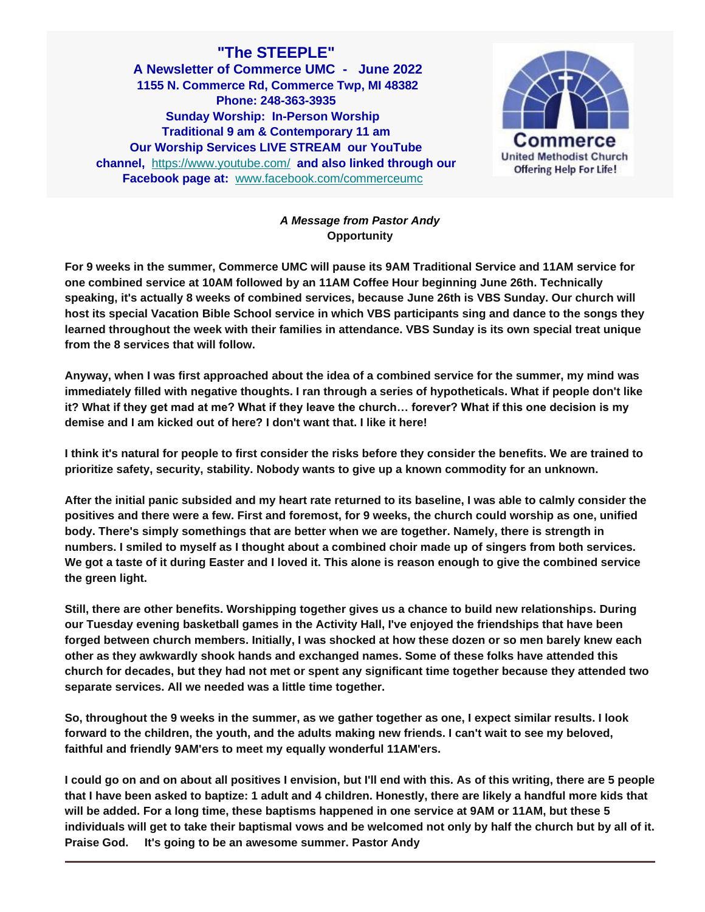**"The STEEPLE" A Newsletter of Commerce UMC - June 2022 1155 N. Commerce Rd, Commerce Twp, MI 48382 Phone: 248-363-3935 Sunday Worship: In-Person Worship Traditional 9 am & Contemporary 11 am Our Worship Services LIVE STREAM our YouTube channel,** [https://www.youtube.com/](https://www.youtube.com/channel/UCPVJq9y0MVKIWGrrugLlwZw) **and also linked through our Facebook page at:** [www.facebook.com/commerceumc](http://www.facebook.com/commerceumc)



# *A Message from Pastor Andy* **Opportunity**

**For 9 weeks in the summer, Commerce UMC will pause its 9AM Traditional Service and 11AM service for one combined service at 10AM followed by an 11AM Coffee Hour beginning June 26th. Technically speaking, it's actually 8 weeks of combined services, because June 26th is VBS Sunday. Our church will host its special Vacation Bible School service in which VBS participants sing and dance to the songs they learned throughout the week with their families in attendance. VBS Sunday is its own special treat unique from the 8 services that will follow.**

**Anyway, when I was first approached about the idea of a combined service for the summer, my mind was immediately filled with negative thoughts. I ran through a series of hypotheticals. What if people don't like it? What if they get mad at me? What if they leave the church… forever? What if this one decision is my demise and I am kicked out of here? I don't want that. I like it here!**

**I think it's natural for people to first consider the risks before they consider the benefits. We are trained to prioritize safety, security, stability. Nobody wants to give up a known commodity for an unknown.**

**After the initial panic subsided and my heart rate returned to its baseline, I was able to calmly consider the positives and there were a few. First and foremost, for 9 weeks, the church could worship as one, unified body. There's simply somethings that are better when we are together. Namely, there is strength in numbers. I smiled to myself as I thought about a combined choir made up of singers from both services. We got a taste of it during Easter and I loved it. This alone is reason enough to give the combined service the green light.**

**Still, there are other benefits. Worshipping together gives us a chance to build new relationships. During our Tuesday evening basketball games in the Activity Hall, I've enjoyed the friendships that have been forged between church members. Initially, I was shocked at how these dozen or so men barely knew each other as they awkwardly shook hands and exchanged names. Some of these folks have attended this church for decades, but they had not met or spent any significant time together because they attended two separate services. All we needed was a little time together.**

**So, throughout the 9 weeks in the summer, as we gather together as one, I expect similar results. I look forward to the children, the youth, and the adults making new friends. I can't wait to see my beloved, faithful and friendly 9AM'ers to meet my equally wonderful 11AM'ers.**

**I could go on and on about all positives I envision, but I'll end with this. As of this writing, there are 5 people that I have been asked to baptize: 1 adult and 4 children. Honestly, there are likely a handful more kids that will be added. For a long time, these baptisms happened in one service at 9AM or 11AM, but these 5 individuals will get to take their baptismal vows and be welcomed not only by half the church but by all of it. Praise God. It's going to be an awesome summer. Pastor Andy**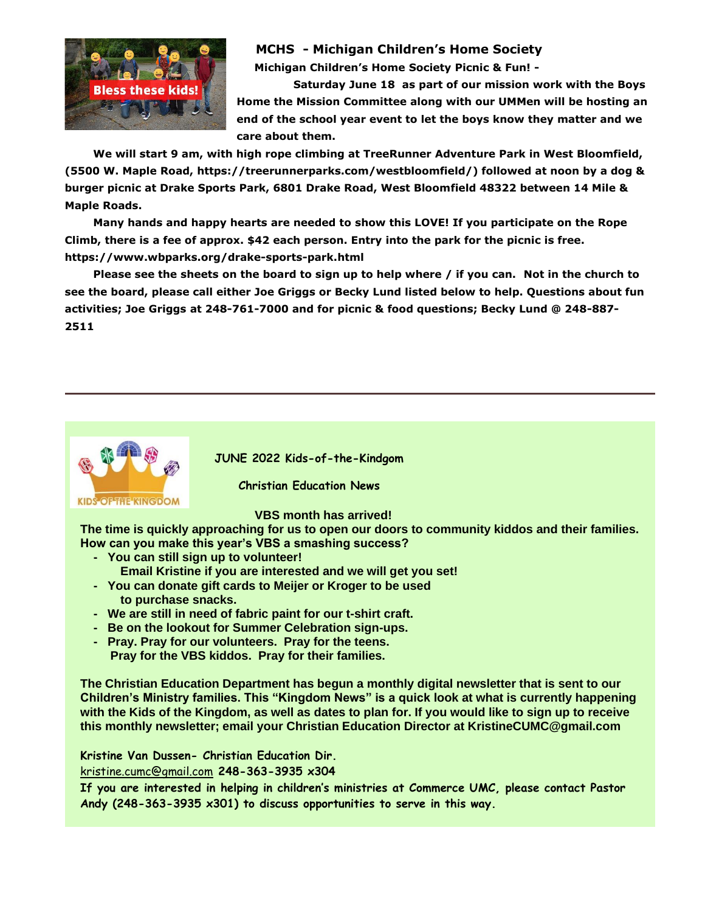

# **MCHS - Michigan Children's Home Society**

**Michigan Children's Home Society Picnic & Fun! -**

**Saturday June 18 as part of our mission work with the Boys Home the Mission Committee along with our UMMen will be hosting an end of the school year event to let the boys know they matter and we care about them.**

**We will start 9 am, with high rope climbing at TreeRunner Adventure Park in West Bloomfield, (5500 W. Maple Road, https://treerunnerparks.com/westbloomfield/) followed at noon by a dog & burger picnic at Drake Sports Park, 6801 Drake Road, West Bloomfield 48322 between 14 Mile & Maple Roads.**

**Many hands and happy hearts are needed to show this LOVE! If you participate on the Rope Climb, there is a fee of approx. \$42 each person. Entry into the park for the picnic is free. https://www.wbparks.org/drake-sports-park.html** 

**Please see the sheets on the board to sign up to help where / if you can. Not in the church to see the board, please call either Joe Griggs or Becky Lund listed below to help. Questions about fun activities; Joe Griggs at 248-761-7000 and for picnic & food questions; Becky Lund @ 248-887- 2511** 



**JUNE 2022 Kids-of-the-Kindgom**

 **Christian Education News**

 **VBS month has arrived!**

**The time is quickly approaching for us to open our doors to community kiddos and their families. How can you make this year's VBS a smashing success?**

- **- You can still sign up to volunteer!**
	- **Email Kristine if you are interested and we will get you set!**
- **- You can donate gift cards to Meijer or Kroger to be used to purchase snacks.**
- **- We are still in need of fabric paint for our t-shirt craft.**
- **- Be on the lookout for Summer Celebration sign-ups.**
- **- Pray. Pray for our volunteers. Pray for the teens. Pray for the VBS kiddos. Pray for their families.**

**The Christian Education Department has begun a monthly digital newsletter that is sent to our Children's Ministry families. This "Kingdom News" is a quick look at what is currently happening with the Kids of the Kingdom, as well as dates to plan for. If you would like to sign up to receive this monthly newsletter; email your Christian Education Director at KristineCUMC@gmail.com**

**Kristine Van Dussen- Christian Education Dir.**

[kristine.cumc@gmail.com](mailto:kristine.cumc@gmail.com) **248-363-3935 x304**

**If you are interested in helping in children's ministries at Commerce UMC, please contact Pastor Andy (248-363-3935 x301) to discuss opportunities to serve in this way.**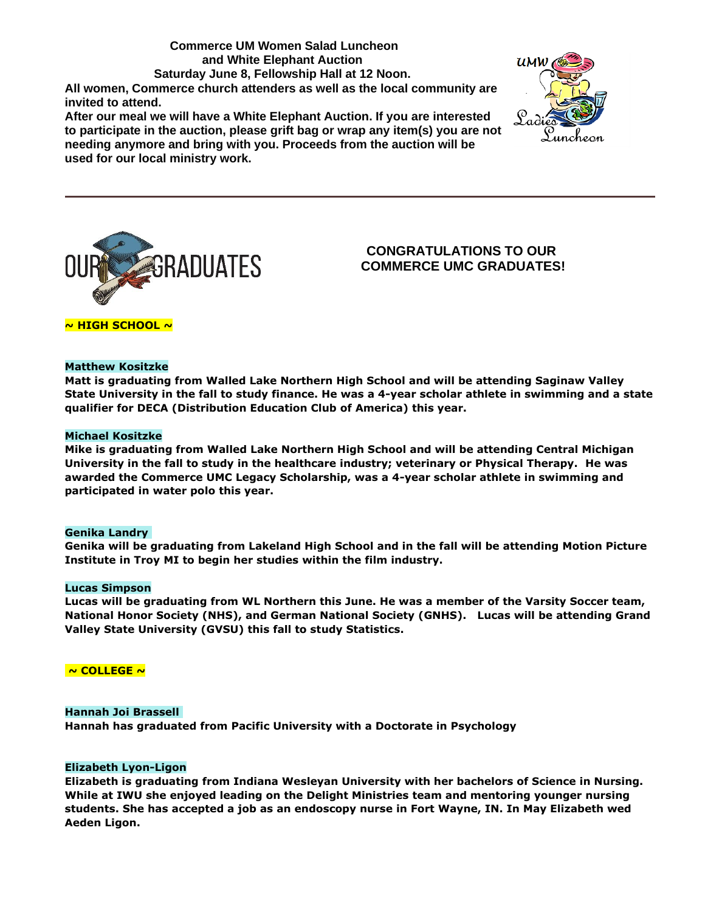## **Commerce UM Women Salad Luncheon and White Elephant Auction Saturday June 8, Fellowship Hall at 12 Noon. All women, Commerce church attenders as well as the local community are invited to attend.**

**After our meal we will have a White Elephant Auction. If you are interested to participate in the auction, please grift bag or wrap any item(s) you are not needing anymore and bring with you. Proceeds from the auction will be used for our local ministry work.**





# **CONGRATULATIONS TO OUR COMMERCE UMC GRADUATES!**

## **~ HIGH SCHOOL ~**

### **Matthew Kositzke**

**Matt is graduating from Walled Lake Northern High School and will be attending Saginaw Valley State University in the fall to study finance. He was a 4-year scholar athlete in swimming and a state qualifier for DECA (Distribution Education Club of America) this year.**

#### **Michael Kositzke**

**Mike is graduating from Walled Lake Northern High School and will be attending Central Michigan University in the fall to study in the healthcare industry; veterinary or Physical Therapy. He was awarded the Commerce UMC Legacy Scholarship, was a 4-year scholar athlete in swimming and participated in water polo this year.** 

#### **Genika Landry**

**Genika will be graduating from Lakeland High School and in the fall will be attending Motion Picture Institute in Troy MI to begin her studies within the film industry.**

#### **Lucas Simpson**

**Lucas will be graduating from WL Northern this June. He was a member of the Varsity Soccer team, National Honor Society (NHS), and German National Society (GNHS). Lucas will be attending Grand Valley State University (GVSU) this fall to study Statistics.**

## **~ COLLEGE ~**

#### **Hannah Joi Brassell**

**Hannah has graduated from Pacific University with a Doctorate in Psychology**

#### **Elizabeth Lyon-Ligon**

**Elizabeth is graduating from Indiana Wesleyan University with her bachelors of Science in Nursing. While at IWU she enjoyed leading on the Delight Ministries team and mentoring younger nursing students. She has accepted a job as an endoscopy nurse in Fort Wayne, IN. In May Elizabeth wed Aeden Ligon.**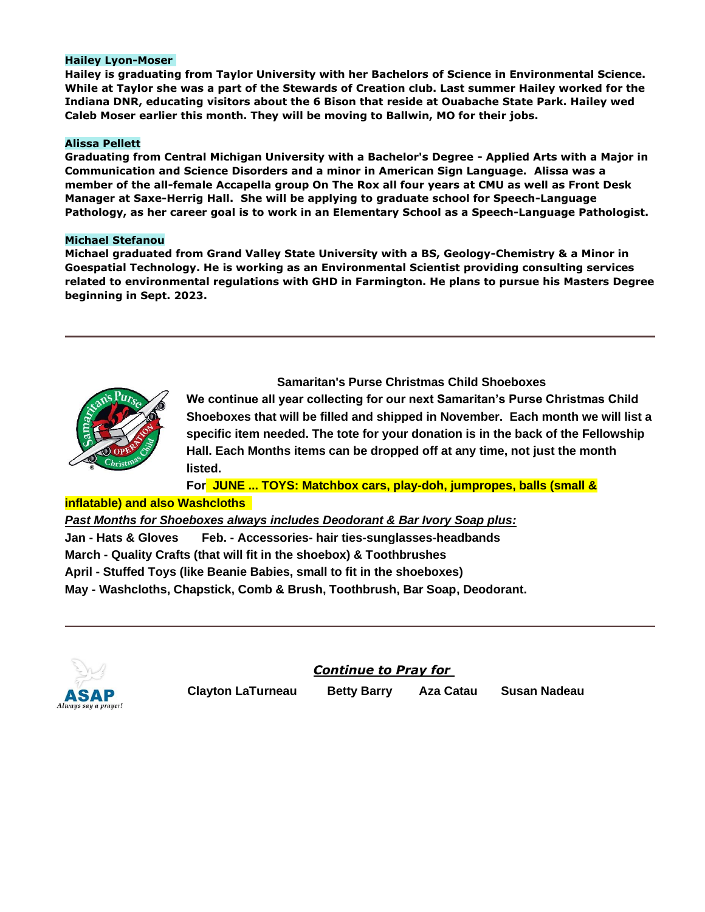## **Hailey Lyon-Moser**

**Hailey is graduating from Taylor University with her Bachelors of Science in Environmental Science. While at Taylor she was a part of the Stewards of Creation club. Last summer Hailey worked for the Indiana DNR, educating visitors about the 6 Bison that reside at Ouabache State Park. Hailey wed Caleb Moser earlier this month. They will be moving to Ballwin, MO for their jobs.** 

### **Alissa Pellett**

**Graduating from Central Michigan University with a Bachelor's Degree - Applied Arts with a Major in Communication and Science Disorders and a minor in American Sign Language. Alissa was a member of the all-female Accapella group On The Rox all four years at CMU as well as Front Desk Manager at Saxe-Herrig Hall. She will be applying to graduate school for Speech-Language Pathology, as her career goal is to work in an Elementary School as a Speech-Language Pathologist.**

### **Michael Stefanou**

**Michael graduated from Grand Valley State University with a BS, Geology-Chemistry & a Minor in Goespatial Technology. He is working as an Environmental Scientist providing consulting services related to environmental regulations with GHD in Farmington. He plans to pursue his Masters Degree beginning in Sept. 2023.**



**Samaritan's Purse Christmas Child Shoeboxes We continue all year collecting for our next Samaritan's Purse Christmas Child Shoeboxes that will be filled and shipped in November. Each month we will list a specific item needed. The tote for your donation is in the back of the Fellowship Hall. Each Months items can be dropped off at any time, not just the month listed.**

**For JUNE ... TOYS: Matchbox cars, play-doh, jumpropes, balls (small &** 

# **inflatable) and also Washcloths**

*Past Months for Shoeboxes always includes Deodorant & Bar Ivory Soap plus:*

**Jan - Hats & Gloves Feb. - Accessories- hair ties-sunglasses-headbands**

**March - Quality Crafts (that will fit in the shoebox) & Toothbrushes**

**April - Stuffed Toys (like Beanie Babies, small to fit in the shoeboxes)**

**May - Washcloths, Chapstick, Comb & Brush, Toothbrush, Bar Soap, Deodorant.**



*Continue to Pray for*

**Clayton LaTurneau Betty Barry Aza Catau Susan Nadeau**